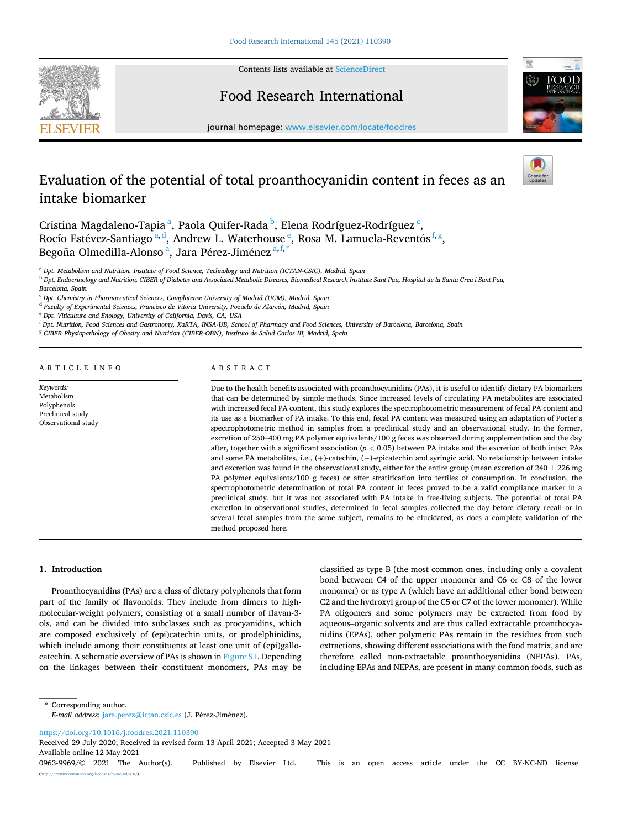

Contents lists available at [ScienceDirect](www.sciencedirect.com/science/journal/09639969)

## Food Research International



journal homepage: [www.elsevier.com/locate/foodres](https://www.elsevier.com/locate/foodres) 

# Evaluation of the potential of total proanthocyanidin content in feces as an intake biomarker

Cristina Magdaleno-Tapiaª, Paola Quifer-Rada<sup> b</sup>, Elena Rodríguez-Rodríguez<sup>.c</sup>, Rocío Estévez-Santiago <sup>a, d</sup>, Andrew L. Waterhouse <sup>e</sup>, Rosa M. Lamuela-Reventós <sup>f, g</sup>, Begoña Olmedilla-Alonso <sup>a</sup>, Jara Pérez-Jiménez <sup>a,f,\*</sup>

<sup>a</sup> *Dpt. Metabolism and Nutrition, Institute of Food Science, Technology and Nutrition (ICTAN-CSIC), Madrid, Spain* 

<sup>b</sup> *Dpt. Endocrinology and Nutrition, CIBER of Diabetes and Associated Metabolic Diseases, Biomedical Research Institute Sant Pau, Hospital de la Santa Creu i Sant Pau, Barcelona, Spain* 

<sup>d</sup> Faculty of Experimental Sciences, Francisco de Vitoria University, Pozuelo de Alarcón, Madrid, Spain

<sup>e</sup> *Dpt. Viticulture and Enology, University of California, Davis, CA, USA* 

<sup>f</sup> *Dpt. Nutrition, Food Sciences and Gastronomy, XaRTA, INSA-UB, School of Pharmacy and Food Sciences, University of Barcelona, Barcelona, Spain* 

<sup>g</sup> *CIBER Physiopathology of Obesity and Nutrition (CIBER-OBN), Instituto de Salud Carlos III, Madrid, Spain* 

ARTICLE INFO

*Keywords:*  Metabolism Polyphenols Preclinical study Observational study

#### ABSTRACT

Due to the health benefits associated with proanthocyanidins (PAs), it is useful to identify dietary PA biomarkers that can be determined by simple methods. Since increased levels of circulating PA metabolites are associated with increased fecal PA content, this study explores the spectrophotometric measurement of fecal PA content and its use as a biomarker of PA intake. To this end, fecal PA content was measured using an adaptation of Porter's spectrophotometric method in samples from a preclinical study and an observational study. In the former, excretion of 250–400 mg PA polymer equivalents/100 g feces was observed during supplementation and the day after, together with a significant association (*p <* 0.05) between PA intake and the excretion of both intact PAs and some PA metabolites, i.e., (+)-catechin, (− )-epicatechin and syringic acid. No relationship between intake and excretion was found in the observational study, either for the entire group (mean excretion of  $240 \pm 226$  mg PA polymer equivalents/100 g feces) or after stratification into tertiles of consumption. In conclusion, the spectrophotometric determination of total PA content in feces proved to be a valid compliance marker in a preclinical study, but it was not associated with PA intake in free-living subjects. The potential of total PA excretion in observational studies, determined in fecal samples collected the day before dietary recall or in several fecal samples from the same subject, remains to be elucidated, as does a complete validation of the method proposed here.

**1. Introduction** 

Proanthocyanidins (PAs) are a class of dietary polyphenols that form part of the family of flavonoids. They include from dimers to highmolecular-weight polymers, consisting of a small number of flavan-3 ols, and can be divided into subclasses such as procyanidins, which are composed exclusively of (epi)catechin units, or prodelphinidins, which include among their constituents at least one unit of (epi)gallocatechin. A schematic overview of PAs is shown in Figure S1. Depending on the linkages between their constituent monomers, PAs may be classified as type B (the most common ones, including only a covalent bond between C4 of the upper monomer and C6 or C8 of the lower monomer) or as type A (which have an additional ether bond between C2 and the hydroxyl group of the C5 or C7 of the lower monomer). While PA oligomers and some polymers may be extracted from food by aqueous–organic solvents and are thus called extractable proanthocyanidins (EPAs), other polymeric PAs remain in the residues from such extractions, showing different associations with the food matrix, and are therefore called non-extractable proanthocyanidins (NEPAs). PAs, including EPAs and NEPAs, are present in many common foods, such as

\* Corresponding author. *E-mail address: [jara.perez@ictan.csic.es](mailto:jara.perez@ictan.csic.es) (J. Pérez-Jiménez).* 

<https://doi.org/10.1016/j.foodres.2021.110390>

Available online 12 May 2021 Received 29 July 2020; Received in revised form 13 April 2021; Accepted 3 May 2021

0963-9969/© 2021 The Author(s). Published by Elsevier Ltd. This is an open access article under the CC BY-NC-ND license [\(http://creativecommons.org/licenses/by-nc-nd/4.0/\)](http://creativecommons.org/licenses/by-nc-nd/4.0/).

<sup>c</sup> *Dpt. Chemistry in Pharmaceutical Sciences, Complutense University of Madrid (UCM), Madrid, Spain*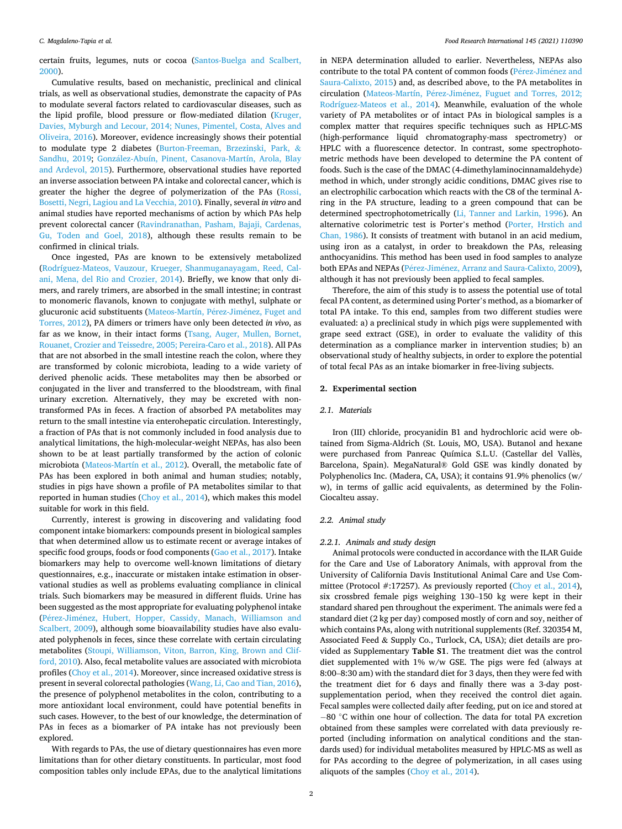certain fruits, legumes, nuts or cocoa ([Santos-Buelga and Scalbert,](#page-6-0)  [2000\)](#page-6-0).

Cumulative results, based on mechanistic, preclinical and clinical trials, as well as observational studies, demonstrate the capacity of PAs to modulate several factors related to cardiovascular diseases, such as the lipid profile, blood pressure or flow-mediated dilation [\(Kruger,](#page-6-0)  [Davies, Myburgh and Lecour, 2014; Nunes, Pimentel, Costa, Alves and](#page-6-0)  [Oliveira, 2016\)](#page-6-0). Moreover, evidence increasingly shows their potential to modulate type 2 diabetes ([Burton-Freeman, Brzezinski, Park,](#page-6-0) & [Sandhu, 2019;](#page-6-0) González-Abuín, Pinent, Casanova-Martín, Arola, Blay [and Ardevol, 2015](#page-6-0)). Furthermore, observational studies have reported an inverse association between PA intake and colorectal cancer, which is greater the higher the degree of polymerization of the PAs [\(Rossi,](#page-6-0)  [Bosetti, Negri, Lagiou and La Vecchia, 2010\)](#page-6-0). Finally, several *in vitro* and animal studies have reported mechanisms of action by which PAs help prevent colorectal cancer [\(Ravindranathan, Pasham, Bajaji, Cardenas,](#page-6-0)  [Gu, Toden and Goel, 2018](#page-6-0)), although these results remain to be confirmed in clinical trials.

Once ingested, PAs are known to be extensively metabolized ([Rodríguez-Mateos, Vauzour, Krueger, Shanmuganayagam, Reed, Cal](#page-6-0)[ani, Mena, del Rio and Crozier, 2014\)](#page-6-0). Briefly, we know that only dimers, and rarely trimers, are absorbed in the small intestine; in contrast to monomeric flavanols, known to conjugate with methyl, sulphate or glucuronic acid substituents ([Mateos-Martín, P](#page-6-0)érez-Jiménez, Fuget and [Torres, 2012\)](#page-6-0), PA dimers or trimers have only been detected *in vivo*, as far as we know, in their intact forms ([Tsang, Auger, Mullen, Bornet,](#page-6-0)  [Rouanet, Crozier and Teissedre, 2005; Pereira-Caro et al., 2018\)](#page-6-0). All PAs that are not absorbed in the small intestine reach the colon, where they are transformed by colonic microbiota, leading to a wide variety of derived phenolic acids. These metabolites may then be absorbed or conjugated in the liver and transferred to the bloodstream, with final urinary excretion. Alternatively, they may be excreted with nontransformed PAs in feces. A fraction of absorbed PA metabolites may return to the small intestine via enterohepatic circulation. Interestingly, a fraction of PAs that is not commonly included in food analysis due to analytical limitations, the high-molecular-weight NEPAs, has also been shown to be at least partially transformed by the action of colonic microbiota ([Mateos-Martín et al., 2012](#page-6-0)). Overall, the metabolic fate of PAs has been explored in both animal and human studies; notably, studies in pigs have shown a profile of PA metabolites similar to that reported in human studies ([Choy et al., 2014\)](#page-6-0), which makes this model suitable for work in this field.

Currently, interest is growing in discovering and validating food component intake biomarkers: compounds present in biological samples that when determined allow us to estimate recent or average intakes of specific food groups, foods or food components [\(Gao et al., 2017\)](#page-6-0). Intake biomarkers may help to overcome well-known limitations of dietary questionnaires, e.g., inaccurate or mistaken intake estimation in observational studies as well as problems evaluating compliance in clinical trials. Such biomarkers may be measured in different fluids. Urine has been suggested as the most appropriate for evaluating polyphenol intake (Pérez-Jiménez, Hubert, Hopper, Cassidy, Manach, Williamson and [Scalbert, 2009\)](#page-6-0), although some bioavailability studies have also evaluated polyphenols in feces, since these correlate with certain circulating metabolites [\(Stoupi, Williamson, Viton, Barron, King, Brown and Clif](#page-6-0)[ford, 2010](#page-6-0)). Also, fecal metabolite values are associated with microbiota profiles ([Choy et al., 2014\)](#page-6-0). Moreover, since increased oxidative stress is present in several colorectal pathologies [\(Wang, Li, Cao and Tian, 2016](#page-6-0)), the presence of polyphenol metabolites in the colon, contributing to a more antioxidant local environment, could have potential benefits in such cases. However, to the best of our knowledge, the determination of PAs in feces as a biomarker of PA intake has not previously been explored.

With regards to PAs, the use of dietary questionnaires has even more limitations than for other dietary constituents. In particular, most food composition tables only include EPAs, due to the analytical limitations

in NEPA determination alluded to earlier. Nevertheless, NEPAs also contribute to the total PA content of common foods (Pérez-Jiménez and [Saura-Calixto, 2015\)](#page-6-0) and, as described above, to the PA metabolites in circulation (Mateos-Martín, Pérez-Jiménez, Fuguet and Torres, 2012; [Rodríguez-Mateos et al., 2014](#page-6-0)). Meanwhile, evaluation of the whole variety of PA metabolites or of intact PAs in biological samples is a complex matter that requires specific techniques such as HPLC-MS (high-performance liquid chromatography-mass spectrometry) or HPLC with a fluorescence detector. In contrast, some spectrophotometric methods have been developed to determine the PA content of foods. Such is the case of the DMAC (4-dimethylaminocinnamaldehyde) method in which, under strongly acidic conditions, DMAC gives rise to an electrophilic carbocation which reacts with the C8 of the terminal Aring in the PA structure, leading to a green compound that can be determined spectrophotometrically [\(Li, Tanner and Larkin, 1996](#page-6-0)). An alternative colorimetric test is Porter's method ([Porter, Hrstich and](#page-6-0)  [Chan, 1986\)](#page-6-0). It consists of treatment with butanol in an acid medium, using iron as a catalyst, in order to breakdown the PAs, releasing anthocyanidins. This method has been used in food samples to analyze both EPAs and NEPAs (Pérez-Jiménez, Arranz and Saura-Calixto, 2009), although it has not previously been applied to fecal samples.

Therefore, the aim of this study is to assess the potential use of total fecal PA content, as determined using Porter's method, as a biomarker of total PA intake. To this end, samples from two different studies were evaluated: a) a preclinical study in which pigs were supplemented with grape seed extract (GSE), in order to evaluate the validity of this determination as a compliance marker in intervention studies; b) an observational study of healthy subjects, in order to explore the potential of total fecal PAs as an intake biomarker in free-living subjects.

#### **2. Experimental section**

### *2.1. Materials*

Iron (III) chloride, procyanidin B1 and hydrochloric acid were obtained from Sigma-Aldrich (St. Louis, MO, USA). Butanol and hexane were purchased from Panreac Química S.L.U. (Castellar del Vallès, Barcelona, Spain). MegaNatural® Gold GSE was kindly donated by Polyphenolics Inc. (Madera, CA, USA); it contains 91.9% phenolics (w/ w), in terms of gallic acid equivalents, as determined by the Folin-Ciocalteu assay.

### *2.2. Animal study*

### *2.2.1. Animals and study design*

Animal protocols were conducted in accordance with the ILAR Guide for the Care and Use of Laboratory Animals, with approval from the University of California Davis Institutional Animal Care and Use Committee (Protocol #:17257). As previously reported [\(Choy et al., 2014](#page-6-0)), six crossbred female pigs weighing 130–150 kg were kept in their standard shared pen throughout the experiment. The animals were fed a standard diet (2 kg per day) composed mostly of corn and soy, neither of which contains PAs, along with nutritional supplements (Ref. 320354 M, Associated Feed & Supply Co., Turlock, CA, USA); diet details are provided as Supplementary **Table S1**. The treatment diet was the control diet supplemented with 1% w/w GSE. The pigs were fed (always at 8:00–8:30 am) with the standard diet for 3 days, then they were fed with the treatment diet for 6 days and finally there was a 3-day postsupplementation period, when they received the control diet again. Fecal samples were collected daily after feeding, put on ice and stored at − 80 ◦C within one hour of collection. The data for total PA excretion obtained from these samples were correlated with data previously reported (including information on analytical conditions and the standards used) for individual metabolites measured by HPLC-MS as well as for PAs according to the degree of polymerization, in all cases using aliquots of the samples [\(Choy et al., 2014\)](#page-6-0).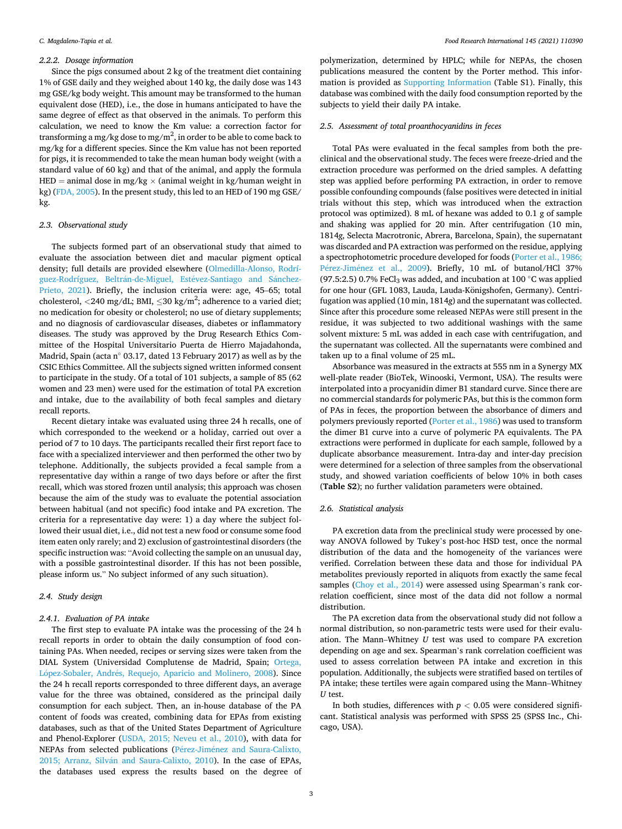#### *2.2.2. Dosage information*

Since the pigs consumed about 2 kg of the treatment diet containing 1% of GSE daily and they weighed about 140 kg, the daily dose was 143 mg GSE/kg body weight. This amount may be transformed to the human equivalent dose (HED), i.e., the dose in humans anticipated to have the same degree of effect as that observed in the animals. To perform this calculation, we need to know the Km value: a correction factor for transforming a mg/kg dose to mg/m $^2$ , in order to be able to come back to mg/kg for a different species. Since the Km value has not been reported for pigs, it is recommended to take the mean human body weight (with a standard value of 60 kg) and that of the animal, and apply the formula HED = animal dose in mg/kg  $\times$  (animal weight in kg/human weight in kg) ([FDA, 2005\)](#page-6-0). In the present study, this led to an HED of 190 mg GSE/ kg.

#### *2.3. Observational study*

The subjects formed part of an observational study that aimed to evaluate the association between diet and macular pigment optical density; full details are provided elsewhere ([Olmedilla-Alonso, Rodrí](#page-6-0)[guez-Rodríguez, Beltr](#page-6-0)án-de-Miguel, Estévez-Santiago and Sánchez-[Prieto, 2021\)](#page-6-0). Briefly, the inclusion criteria were: age, 45–65; total cholesterol,  $\langle 240 \text{ mg/dL}$ ; BMI,  $\leq 30 \text{ kg/m}^2$ ; adherence to a varied diet; no medication for obesity or cholesterol; no use of dietary supplements; and no diagnosis of cardiovascular diseases, diabetes or inflammatory diseases. The study was approved by the Drug Research Ethics Committee of the Hospital Universitario Puerta de Hierro Majadahonda, Madrid, Spain (acta n◦ 03.17, dated 13 February 2017) as well as by the CSIC Ethics Committee. All the subjects signed written informed consent to participate in the study. Of a total of 101 subjects, a sample of 85 (62 women and 23 men) were used for the estimation of total PA excretion and intake, due to the availability of both fecal samples and dietary recall reports.

Recent dietary intake was evaluated using three 24 h recalls, one of which corresponded to the weekend or a holiday, carried out over a period of 7 to 10 days. The participants recalled their first report face to face with a specialized interviewer and then performed the other two by telephone. Additionally, the subjects provided a fecal sample from a representative day within a range of two days before or after the first recall, which was stored frozen until analysis; this approach was chosen because the aim of the study was to evaluate the potential association between habitual (and not specific) food intake and PA excretion. The criteria for a representative day were: 1) a day where the subject followed their usual diet, i.e., did not test a new food or consume some food item eaten only rarely; and 2) exclusion of gastrointestinal disorders (the specific instruction was: "Avoid collecting the sample on an unusual day, with a possible gastrointestinal disorder. If this has not been possible, please inform us." No subject informed of any such situation).

### *2.4. Study design*

### *2.4.1. Evaluation of PA intake*

The first step to evaluate PA intake was the processing of the 24 h recall reports in order to obtain the daily consumption of food containing PAs. When needed, recipes or serving sizes were taken from the DIAL System (Universidad Complutense de Madrid, Spain; [Ortega,](#page-6-0)  López-Sobaler, Andrés, Requejo, Aparicio and Molinero, 2008). Since the 24 h recall reports corresponded to three different days, an average value for the three was obtained, considered as the principal daily consumption for each subject. Then, an in-house database of the PA content of foods was created, combining data for EPAs from existing databases, such as that of the United States Department of Agriculture and Phenol-Explorer ([USDA, 2015; Neveu et al., 2010\)](#page-6-0), with data for NEPAs from selected publications (Pérez-Jiménez and Saura-Calixto, 2015; Arranz, Silván [and Saura-Calixto, 2010\)](#page-6-0). In the case of EPAs, the databases used express the results based on the degree of

polymerization, determined by HPLC; while for NEPAs, the chosen publications measured the content by the Porter method. This information is provided as Supporting Information (Table S1). Finally, this database was combined with the daily food consumption reported by the subjects to yield their daily PA intake.

#### *2.5. Assessment of total proanthocyanidins in feces*

Total PAs were evaluated in the fecal samples from both the preclinical and the observational study. The feces were freeze-dried and the extraction procedure was performed on the dried samples. A defatting step was applied before performing PA extraction, in order to remove possible confounding compounds (false positives were detected in initial trials without this step, which was introduced when the extraction protocol was optimized). 8 mL of hexane was added to 0.1 g of sample and shaking was applied for 20 min. After centrifugation (10 min, 1814*g*, Selecta Macrotronic, Abrera, Barcelona, Spain), the supernatant was discarded and PA extraction was performed on the residue, applying a spectrophotometric procedure developed for foods [\(Porter et al., 1986;](#page-6-0)  Pérez-Jiménez et al., 2009). Briefly, 10 mL of butanol/HCl 37% (97.5:2.5) 0.7% FeCl<sub>3</sub> was added, and incubation at 100  $\degree$ C was applied for one hour (GFL 1083, Lauda, Lauda-Königshofen, Germany). Centrifugation was applied (10 min, 1814*g*) and the supernatant was collected. Since after this procedure some released NEPAs were still present in the residue, it was subjected to two additional washings with the same solvent mixture: 5 mL was added in each case with centrifugation, and the supernatant was collected. All the supernatants were combined and taken up to a final volume of 25 mL.

Absorbance was measured in the extracts at 555 nm in a Synergy MX well-plate reader (BioTek, Winooski, Vermont, USA). The results were interpolated into a procyanidin dimer B1 standard curve. Since there are no commercial standards for polymeric PAs, but this is the common form of PAs in feces, the proportion between the absorbance of dimers and polymers previously reported [\(Porter et al., 1986\)](#page-6-0) was used to transform the dimer B1 curve into a curve of polymeric PA equivalents. The PA extractions were performed in duplicate for each sample, followed by a duplicate absorbance measurement. Intra-day and inter-day precision were determined for a selection of three samples from the observational study, and showed variation coefficients of below 10% in both cases (**Table S2**); no further validation parameters were obtained.

### *2.6. Statistical analysis*

PA excretion data from the preclinical study were processed by oneway ANOVA followed by Tukey's post-hoc HSD test, once the normal distribution of the data and the homogeneity of the variances were verified. Correlation between these data and those for individual PA metabolites previously reported in aliquots from exactly the same fecal samples [\(Choy et al., 2014](#page-6-0)) were assessed using Spearman's rank correlation coefficient, since most of the data did not follow a normal distribution.

The PA excretion data from the observational study did not follow a normal distribution, so non-parametric tests were used for their evaluation. The Mann–Whitney *U* test was used to compare PA excretion depending on age and sex. Spearman's rank correlation coefficient was used to assess correlation between PA intake and excretion in this population. Additionally, the subjects were stratified based on tertiles of PA intake; these tertiles were again compared using the Mann–Whitney *U* test.

In both studies, differences with  $p < 0.05$  were considered significant. Statistical analysis was performed with SPSS 25 (SPSS Inc., Chicago, USA).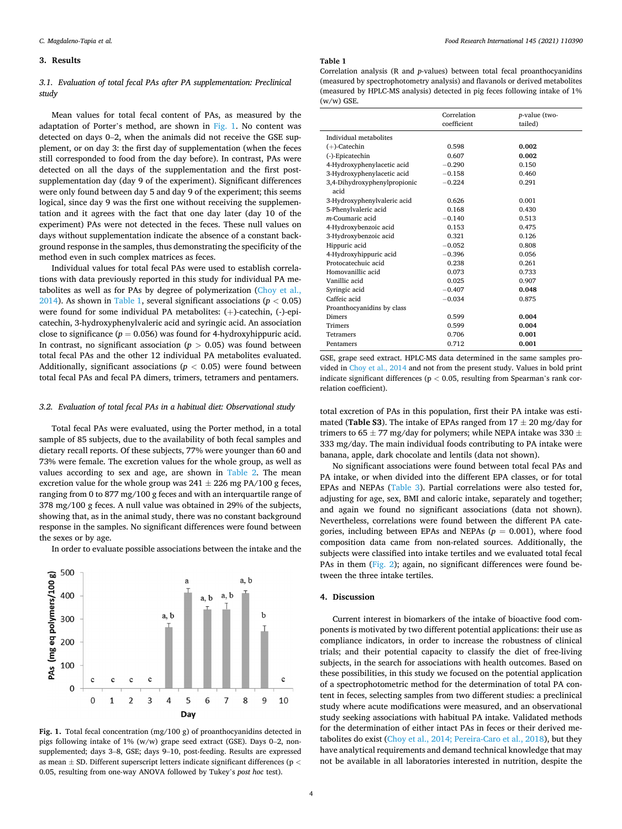### **3. Results**

### *3.1. Evaluation of total fecal PAs after PA supplementation: Preclinical study*

Mean values for total fecal content of PAs, as measured by the adaptation of Porter's method, are shown in Fig. 1. No content was detected on days 0–2, when the animals did not receive the GSE supplement, or on day 3: the first day of supplementation (when the feces still corresponded to food from the day before). In contrast, PAs were detected on all the days of the supplementation and the first postsupplementation day (day 9 of the experiment). Significant differences were only found between day 5 and day 9 of the experiment; this seems logical, since day 9 was the first one without receiving the supplementation and it agrees with the fact that one day later (day 10 of the experiment) PAs were not detected in the feces. These null values on days without supplementation indicate the absence of a constant background response in the samples, thus demonstrating the specificity of the method even in such complex matrices as feces.

Individual values for total fecal PAs were used to establish correlations with data previously reported in this study for individual PA metabolites as well as for PAs by degree of polymerization ([Choy et al.,](#page-6-0)  [2014\)](#page-6-0). As shown in Table 1, several significant associations ( $p < 0.05$ ) were found for some individual PA metabolites: (+)-catechin, (-)-epicatechin, 3-hydroxyphenylvaleric acid and syringic acid. An association close to significance  $(p = 0.056)$  was found for 4-hydroxyhippuric acid. In contrast, no significant association ( $p > 0.05$ ) was found between total fecal PAs and the other 12 individual PA metabolites evaluated. Additionally, significant associations ( $p < 0.05$ ) were found between total fecal PAs and fecal PA dimers, trimers, tetramers and pentamers.

### *3.2. Evaluation of total fecal PAs in a habitual diet: Observational study*

Total fecal PAs were evaluated, using the Porter method, in a total sample of 85 subjects, due to the availability of both fecal samples and dietary recall reports. Of these subjects, 77% were younger than 60 and 73% were female. The excretion values for the whole group, as well as values according to sex and age, are shown in [Table 2.](#page-4-0) The mean excretion value for the whole group was  $241 \pm 226$  mg PA/100 g feces, ranging from 0 to 877 mg/100 g feces and with an interquartile range of 378 mg/100 g feces. A null value was obtained in 29% of the subjects, showing that, as in the animal study, there was no constant background response in the samples. No significant differences were found between the sexes or by age.

In order to evaluate possible associations between the intake and the



**Fig. 1.** Total fecal concentration (mg/100 g) of proanthocyanidins detected in pigs following intake of 1% (w/w) grape seed extract (GSE). Days 0–2, nonsupplemented; days 3–8, GSE; days 9–10, post-feeding. Results are expressed as mean ± SD. Different superscript letters indicate significant differences (p *<* 0.05, resulting from one-way ANOVA followed by Tukey's *post hoc* test).

#### **Table 1**

Correlation analysis (R and *p*-values) between total fecal proanthocyanidins (measured by spectrophotometry analysis) and flavanols or derived metabolites (measured by HPLC-MS analysis) detected in pig feces following intake of 1% (w/w) GSE.

|                              | Correlation<br>coefficient | <i>p</i> -value (two-<br>tailed) |
|------------------------------|----------------------------|----------------------------------|
| Individual metabolites       |                            |                                  |
| $(+)$ -Catechin              | 0.598                      | 0.002                            |
| (-)-Epicatechin              | 0.607                      | 0.002                            |
| 4-Hydroxyphenylacetic acid   | $-0.290$                   | 0.150                            |
| 3-Hydroxyphenylacetic acid   | $-0.158$                   | 0.460                            |
| 3,4-Dihydroxyphenylpropionic | $-0.224$                   | 0.291                            |
| acid                         |                            |                                  |
| 3-Hydroxyphenylvaleric acid  | 0.626                      | 0.001                            |
| 5-Phenylvaleric acid         | 0.168                      | 0.430                            |
| m-Coumaric acid              | $-0.140$                   | 0.513                            |
| 4-Hydroxybenzoic acid        | 0.153                      | 0.475                            |
| 3-Hydroxybenzoic acid        | 0.321                      | 0.126                            |
| Hippuric acid                | $-0.052$                   | 0.808                            |
| 4-Hydroxyhippuric acid       | $-0.396$                   | 0.056                            |
| Protocatechuic acid          | 0.238                      | 0.261                            |
| Homovanillic acid            | 0.073                      | 0.733                            |
| Vanillic acid                | 0.025                      | 0.907                            |
| Syringic acid                | $-0.407$                   | 0.048                            |
| Caffeic acid                 | $-0.034$                   | 0.875                            |
| Proanthocyanidins by class   |                            |                                  |
| <b>Dimers</b>                | 0.599                      | 0.004                            |
| <b>Trimers</b>               | 0.599                      | 0.004                            |
| <b>Tetramers</b>             | 0.706                      | 0.001                            |
| Pentamers                    | 0.712                      | 0.001                            |

GSE, grape seed extract. HPLC-MS data determined in the same samples provided in [Choy et al., 2014](#page-6-0) and not from the present study. Values in bold print indicate significant differences (p *<* 0.05, resulting from Spearman's rank correlation coefficient).

total excretion of PAs in this population, first their PA intake was estimated (**Table S3**). The intake of EPAs ranged from  $17 \pm 20$  mg/day for trimers to 65  $\pm$  77 mg/day for polymers; while NEPA intake was 330  $\pm$ 333 mg/day. The main individual foods contributing to PA intake were banana, apple, dark chocolate and lentils (data not shown).

No significant associations were found between total fecal PAs and PA intake, or when divided into the different EPA classes, or for total EPAs and NEPAs ([Table 3](#page-4-0)). Partial correlations were also tested for, adjusting for age, sex, BMI and caloric intake, separately and together; and again we found no significant associations (data not shown). Nevertheless, correlations were found between the different PA categories, including between EPAs and NEPAs  $(p = 0.001)$ , where food composition data came from non-related sources. Additionally, the subjects were classified into intake tertiles and we evaluated total fecal PAs in them ([Fig. 2](#page-4-0)); again, no significant differences were found between the three intake tertiles.

### **4. Discussion**

Current interest in biomarkers of the intake of bioactive food components is motivated by two different potential applications: their use as compliance indicators, in order to increase the robustness of clinical trials; and their potential capacity to classify the diet of free-living subjects, in the search for associations with health outcomes. Based on these possibilities, in this study we focused on the potential application of a spectrophotometric method for the determination of total PA content in feces, selecting samples from two different studies: a preclinical study where acute modifications were measured, and an observational study seeking associations with habitual PA intake. Validated methods for the determination of either intact PAs in feces or their derived metabolites do exist [\(Choy et al., 2014; Pereira-Caro et al., 2018](#page-6-0)), but they have analytical requirements and demand technical knowledge that may not be available in all laboratories interested in nutrition, despite the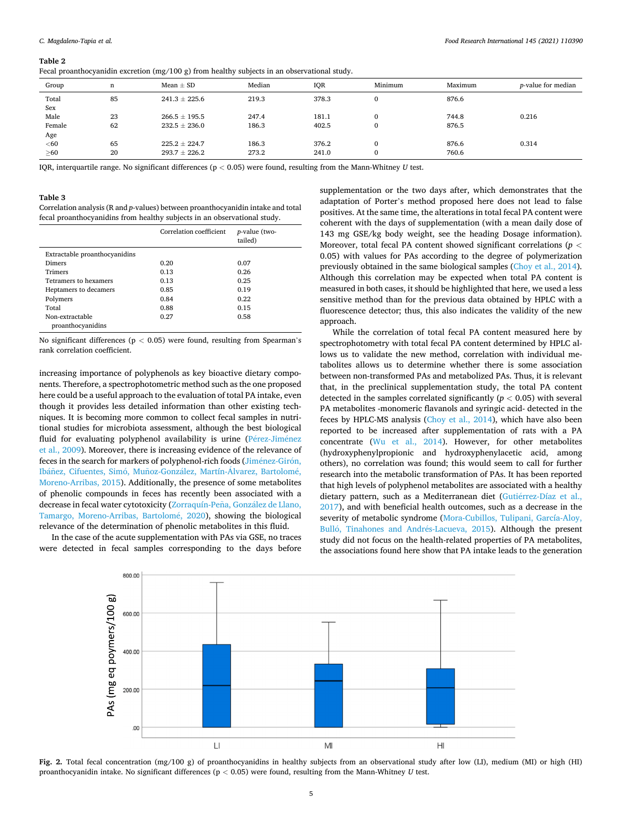#### <span id="page-4-0"></span>**Table 2**

|  |  |  | Fecal proanthocyanidin excretion $(mg/100 g)$ from healthy subjects in an observational study. |
|--|--|--|------------------------------------------------------------------------------------------------|
|  |  |  |                                                                                                |

|           |    | . .<br>$\cdot$    |        |       |          |         |                            |
|-----------|----|-------------------|--------|-------|----------|---------|----------------------------|
| Group     | n  | Mean $\pm$ SD     | Median | IQR   | Minimum  | Maximum | <i>p</i> -value for median |
| Total     | 85 | $241.3 \pm 225.6$ | 219.3  | 378.3 | C        | 876.6   |                            |
| Sex       |    |                   |        |       |          |         |                            |
| Male      | 23 | $266.5 \pm 195.5$ | 247.4  | 181.1 | $\Omega$ | 744.8   | 0.216                      |
| Female    | 62 | $232.5 \pm 236.0$ | 186.3  | 402.5 | C        | 876.5   |                            |
| Age       |    |                   |        |       |          |         |                            |
| $60$      | 65 | $225.2 \pm 224.7$ | 186.3  | 376.2 | C        | 876.6   | 0.314                      |
| $\geq 60$ | 20 | $293.7 \pm 226.2$ | 273.2  | 241.0 | C        | 760.6   |                            |
|           |    |                   |        |       |          |         |                            |

IQR, interquartile range. No significant differences (p *<* 0.05) were found, resulting from the Mann-Whitney *U* test.

#### **Table 3**

Correlation analysis (R and *p*-values) between proanthocyanidin intake and total fecal proanthocyanidins from healthy subjects in an observational study.

|                                      | Correlation coefficient | <i>p</i> -value (two-<br>tailed) |
|--------------------------------------|-------------------------|----------------------------------|
| Extractable proanthocyanidins        |                         |                                  |
| Dimers                               | 0.20                    | 0.07                             |
| <b>Trimers</b>                       | 0.13                    | 0.26                             |
| Tetramers to hexamers                | 0.13                    | 0.25                             |
| Heptamers to decamers                | 0.85                    | 0.19                             |
| Polymers                             | 0.84                    | 0.22                             |
| Total                                | 0.88                    | 0.15                             |
| Non-extractable<br>proanthocyanidins | 0.27                    | 0.58                             |

No significant differences (p *<* 0.05) were found, resulting from Spearman's rank correlation coefficient.

increasing importance of polyphenols as key bioactive dietary components. Therefore, a spectrophotometric method such as the one proposed here could be a useful approach to the evaluation of total PA intake, even though it provides less detailed information than other existing techniques. It is becoming more common to collect fecal samples in nutritional studies for microbiota assessment, although the best biological fluid for evaluating polyphenol availability is urine (Pérez-Jiménez [et al., 2009](#page-6-0)). Moreover, there is increasing evidence of the relevance of feces in the search for markers of polyphenol-rich foods (Jiménez-Girón, Ibáñez, Cifuentes, Simó, Muñoz-González, Martín-Álvarez, Bartolomé, [Moreno-Arribas, 2015\)](#page-6-0). Additionally, the presence of some metabolites of phenolic compounds in feces has recently been associated with a decrease in fecal water cytotoxicity (Zorraquín-Peña, González de Llano, [Tamargo, Moreno-Arribas, Bartolom](#page-7-0)é, 2020), showing the biological relevance of the determination of phenolic metabolites in this fluid.

In the case of the acute supplementation with PAs via GSE, no traces were detected in fecal samples corresponding to the days before

supplementation or the two days after, which demonstrates that the adaptation of Porter's method proposed here does not lead to false positives. At the same time, the alterations in total fecal PA content were coherent with the days of supplementation (with a mean daily dose of 143 mg GSE/kg body weight, see the heading Dosage information). Moreover, total fecal PA content showed significant correlations (*p <* 0.05) with values for PAs according to the degree of polymerization previously obtained in the same biological samples ([Choy et al., 2014](#page-6-0)). Although this correlation may be expected when total PA content is measured in both cases, it should be highlighted that here, we used a less sensitive method than for the previous data obtained by HPLC with a fluorescence detector; thus, this also indicates the validity of the new approach

While the correlation of total fecal PA content measured here by spectrophotometry with total fecal PA content determined by HPLC allows us to validate the new method, correlation with individual metabolites allows us to determine whether there is some association between non-transformed PAs and metabolized PAs. Thus, it is relevant that, in the preclinical supplementation study, the total PA content detected in the samples correlated significantly  $(p < 0.05)$  with several PA metabolites -monomeric flavanols and syringic acid- detected in the feces by HPLC-MS analysis ([Choy et al., 2014\)](#page-6-0), which have also been reported to be increased after supplementation of rats with a PA concentrate [\(Wu et al., 2014\)](#page-6-0). However, for other metabolites (hydroxyphenylpropionic and hydroxyphenylacetic acid, among others), no correlation was found; this would seem to call for further research into the metabolic transformation of PAs. It has been reported that high levels of polyphenol metabolites are associated with a healthy dietary pattern, such as a Mediterranean diet (Gutiérrez-Díaz et al., [2017\)](#page-6-0), and with beneficial health outcomes, such as a decrease in the severity of metabolic syndrome ([Mora-Cubillos, Tulipani, García-Aloy,](#page-6-0)  Bulló, [Tinahones and Andr](#page-6-0)és-Lacueva, 2015). Although the present study did not focus on the health-related properties of PA metabolites, the associations found here show that PA intake leads to the generation



**Fig. 2.** Total fecal concentration (mg/100 g) of proanthocyanidins in healthy subjects from an observational study after low (LI), medium (MI) or high (HI) proanthocyanidin intake. No significant differences (p *<* 0.05) were found, resulting from the Mann-Whitney *U* test.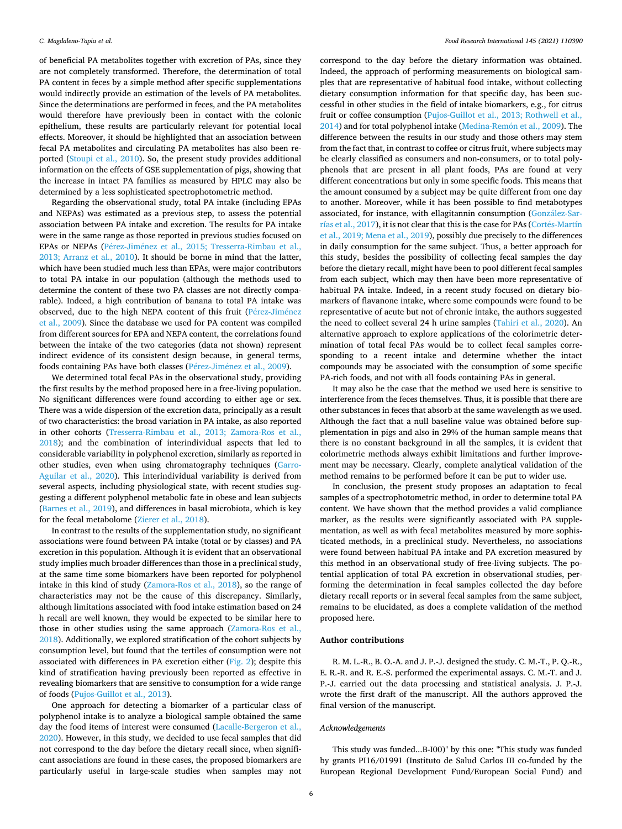of beneficial PA metabolites together with excretion of PAs, since they are not completely transformed. Therefore, the determination of total PA content in feces by a simple method after specific supplementations would indirectly provide an estimation of the levels of PA metabolites. Since the determinations are performed in feces, and the PA metabolites would therefore have previously been in contact with the colonic epithelium, these results are particularly relevant for potential local effects. Moreover, it should be highlighted that an association between fecal PA metabolites and circulating PA metabolites has also been reported ([Stoupi et al., 2010](#page-6-0)). So, the present study provides additional information on the effects of GSE supplementation of pigs, showing that the increase in intact PA families as measured by HPLC may also be determined by a less sophisticated spectrophotometric method.

Regarding the observational study, total PA intake (including EPAs and NEPAs) was estimated as a previous step, to assess the potential association between PA intake and excretion. The results for PA intake were in the same range as those reported in previous studies focused on EPAs or NEPAs (Pérez-Jiménez et al., 2015; Tresserra-Rimbau et al., [2013; Arranz et al., 2010\)](#page-6-0). It should be borne in mind that the latter, which have been studied much less than EPAs, were major contributors to total PA intake in our population (although the methods used to determine the content of these two PA classes are not directly comparable). Indeed, a high contribution of banana to total PA intake was observed, due to the high NEPA content of this fruit (Pérez-Jiménez [et al., 2009](#page-6-0)). Since the database we used for PA content was compiled from different sources for EPA and NEPA content, the correlations found between the intake of the two categories (data not shown) represent indirect evidence of its consistent design because, in general terms, foods containing PAs have both classes (Pérez-Jiménez et al., 2009).

We determined total fecal PAs in the observational study, providing the first results by the method proposed here in a free-living population. No significant differences were found according to either age or sex. There was a wide dispersion of the excretion data, principally as a result of two characteristics: the broad variation in PA intake, as also reported in other cohorts [\(Tresserra-Rimbau et al., 2013; Zamora-Ros et al.,](#page-6-0)  [2018\)](#page-6-0); and the combination of interindividual aspects that led to considerable variability in polyphenol excretion, similarly as reported in other studies, even when using chromatography techniques ([Garro-](#page-6-0)[Aguilar et al., 2020\)](#page-6-0). This interindividual variability is derived from several aspects, including physiological state, with recent studies suggesting a different polyphenol metabolic fate in obese and lean subjects ([Barnes et al., 2019](#page-6-0)), and differences in basal microbiota, which is key for the fecal metabolome ([Zierer et al., 2018](#page-7-0)).

In contrast to the results of the supplementation study, no significant associations were found between PA intake (total or by classes) and PA excretion in this population. Although it is evident that an observational study implies much broader differences than those in a preclinical study, at the same time some biomarkers have been reported for polyphenol intake in this kind of study ([Zamora-Ros et al., 2018\)](#page-7-0), so the range of characteristics may not be the cause of this discrepancy. Similarly, although limitations associated with food intake estimation based on 24 h recall are well known, they would be expected to be similar here to those in other studies using the same approach [\(Zamora-Ros et al.,](#page-7-0)  [2018\)](#page-7-0). Additionally, we explored stratification of the cohort subjects by consumption level, but found that the tertiles of consumption were not associated with differences in PA excretion either ([Fig. 2](#page-4-0)); despite this kind of stratification having previously been reported as effective in revealing biomarkers that are sensitive to consumption for a wide range of foods [\(Pujos-Guillot et al., 2013\)](#page-6-0).

One approach for detecting a biomarker of a particular class of polyphenol intake is to analyze a biological sample obtained the same day the food items of interest were consumed ([Lacalle-Bergeron et al.,](#page-6-0)  [2020\)](#page-6-0). However, in this study, we decided to use fecal samples that did not correspond to the day before the dietary recall since, when significant associations are found in these cases, the proposed biomarkers are particularly useful in large-scale studies when samples may not

correspond to the day before the dietary information was obtained. Indeed, the approach of performing measurements on biological samples that are representative of habitual food intake, without collecting dietary consumption information for that specific day, has been successful in other studies in the field of intake biomarkers, e.g., for citrus fruit or coffee consumption [\(Pujos-Guillot et al., 2013; Rothwell et al.,](#page-6-0)  [2014\)](#page-6-0) and for total polyphenol intake (Medina-Remón et al., 2009). The difference between the results in our study and those others may stem from the fact that, in contrast to coffee or citrus fruit, where subjects may be clearly classified as consumers and non-consumers, or to total polyphenols that are present in all plant foods, PAs are found at very different concentrations but only in some specific foods. This means that the amount consumed by a subject may be quite different from one day to another. Moreover, while it has been possible to find metabotypes associated, for instance, with ellagitannin consumption (González-Sar[rías et al., 2017\)](#page-6-0), it is not clear that this is the case for PAs (Cortés-Martín [et al., 2019; Mena et al., 2019](#page-6-0)), possibly due precisely to the differences in daily consumption for the same subject. Thus, a better approach for this study, besides the possibility of collecting fecal samples the day before the dietary recall, might have been to pool different fecal samples from each subject, which may then have been more representative of habitual PA intake. Indeed, in a recent study focused on dietary biomarkers of flavanone intake, where some compounds were found to be representative of acute but not of chronic intake, the authors suggested the need to collect several 24 h urine samples [\(Tahiri et al., 2020\)](#page-6-0). An alternative approach to explore applications of the colorimetric determination of total fecal PAs would be to collect fecal samples corresponding to a recent intake and determine whether the intact compounds may be associated with the consumption of some specific PA-rich foods, and not with all foods containing PAs in general.

It may also be the case that the method we used here is sensitive to interference from the feces themselves. Thus, it is possible that there are other substances in feces that absorb at the same wavelength as we used. Although the fact that a null baseline value was obtained before supplementation in pigs and also in 29% of the human sample means that there is no constant background in all the samples, it is evident that colorimetric methods always exhibit limitations and further improvement may be necessary. Clearly, complete analytical validation of the method remains to be performed before it can be put to wider use.

In conclusion, the present study proposes an adaptation to fecal samples of a spectrophotometric method, in order to determine total PA content. We have shown that the method provides a valid compliance marker, as the results were significantly associated with PA supplementation, as well as with fecal metabolites measured by more sophisticated methods, in a preclinical study. Nevertheless, no associations were found between habitual PA intake and PA excretion measured by this method in an observational study of free-living subjects. The potential application of total PA excretion in observational studies, performing the determination in fecal samples collected the day before dietary recall reports or in several fecal samples from the same subject, remains to be elucidated, as does a complete validation of the method proposed here.

### **Author contributions**

R. M. L.-R., B. O.-A. and J. P.-J. designed the study. C. M.-T., P. Q.-R., E. R.-R. and R. E.-S. performed the experimental assays. C. M.-T. and J. P.-J. carried out the data processing and statistical analysis. J. P.-J. wrote the first draft of the manuscript. All the authors approved the final version of the manuscript.

### *Acknowledgements*

This study was funded...B-I00)" by this one: "This study was funded by grants PI16/01991 (Instituto de Salud Carlos III co-funded by the European Regional Development Fund/European Social Fund) and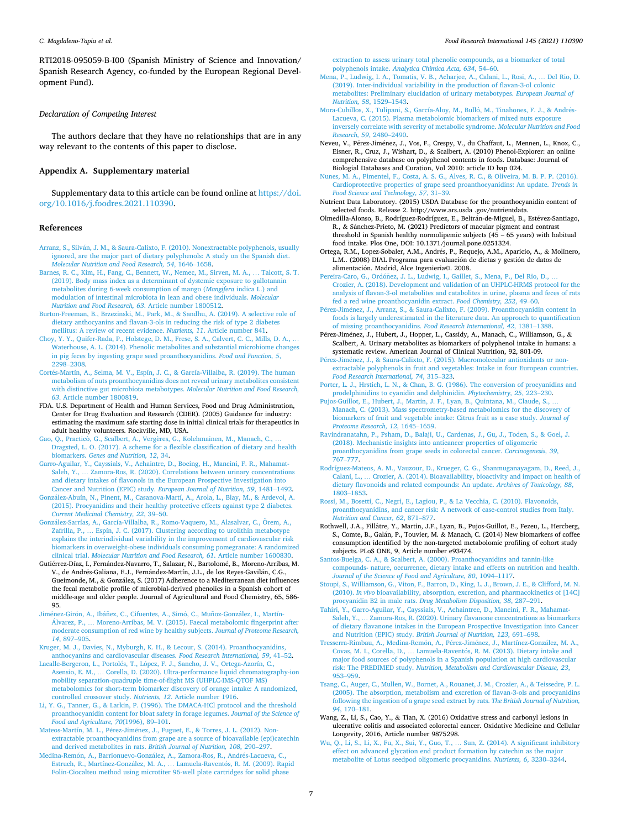<span id="page-6-0"></span>RTI2018-095059-B-I00 (Spanish Ministry of Science and Innovation/ Spanish Research Agency, co-funded by the European Regional Development Fund).

### *Declaration of Competing Interest*

The authors declare that they have no relationships that are in any way relevant to the contents of this paper to disclose.

### **Appendix A. Supplementary material**

Supplementary data to this article can be found online at [https://doi.](https://doi.org/10.1016/j.foodres.2021.110390)  [org/10.1016/j.foodres.2021.110390](https://doi.org/10.1016/j.foodres.2021.110390).

### **References**

- Arranz, S., Silván, J. M., & Saura-Calixto, F. (2010). Nonextractable polyphenols, usually [ignored, are the major part of dietary polyphenols: A study on the Spanish diet.](http://refhub.elsevier.com/S0963-9969(21)00289-1/h0005)  *[Molecular Nutrition and Food Research, 54](http://refhub.elsevier.com/S0963-9969(21)00289-1/h0005)*, 1646–1658.
- [Barnes, R. C., Kim, H., Fang, C., Bennett, W., Nemec, M., Sirven, M. A.,](http://refhub.elsevier.com/S0963-9969(21)00289-1/h0010) … Talcott, S. T. [\(2019\). Body mass index as a determinant of dystemic exposure to gallotannin](http://refhub.elsevier.com/S0963-9969(21)00289-1/h0010)  [metabolites during 6-week consumption of mango \(](http://refhub.elsevier.com/S0963-9969(21)00289-1/h0010)*Mangifera* indica L.) and [modulation of intestinal microbiota in lean and obese individuals.](http://refhub.elsevier.com/S0963-9969(21)00289-1/h0010) *Molecular [Nutrition and Food Research, 63](http://refhub.elsevier.com/S0963-9969(21)00289-1/h0010)*. Article number 1800512.
- [Burton-Freeman, B., Brzezinski, M., Park, M., & Sandhu, A. \(2019\). A selective role of](http://refhub.elsevier.com/S0963-9969(21)00289-1/h0015) [dietary anthocyanins and flavan-3-ols in reducing the risk of type 2 diabetes](http://refhub.elsevier.com/S0963-9969(21)00289-1/h0015) [mellitus: A review of recent evidence.](http://refhub.elsevier.com/S0963-9969(21)00289-1/h0015) *Nutrients, 11*. Article number 841.
- [Choy, Y. Y., Quifer-Rada, P., Holstege, D. M., Frese, S. A., Calvert, C. C., Mills, D. A.,](http://refhub.elsevier.com/S0963-9969(21)00289-1/h0020) … [Waterhouse, A. L. \(2014\). Phenolic metabolites and substantial microbiome changes](http://refhub.elsevier.com/S0963-9969(21)00289-1/h0020)  [in pig feces by ingesting grape seed proanthocyanidins.](http://refhub.elsevier.com/S0963-9969(21)00289-1/h0020) *Food and Function, 5*, [2298](http://refhub.elsevier.com/S0963-9969(21)00289-1/h0020)–2308.
- Cortés-Martín, A., Selma, M. V., Espín, J. C., & García-Villalba, R. (2019). The human [metabolism of nuts proanthocyanidins does not reveal urinary metabolites consistent](http://refhub.elsevier.com/S0963-9969(21)00289-1/h0025)  [with distinctive gut microbiota metabotypes.](http://refhub.elsevier.com/S0963-9969(21)00289-1/h0025) *Molecular Nutrition and Food Research, 63*[. Article number 1800819.](http://refhub.elsevier.com/S0963-9969(21)00289-1/h0025)
- FDA. U.S. Department of Health and Human Services, Food and Drug Administration, Center for Drug Evaluation and Research (CDER). (2005) Guidance for industry: estimating the maximum safe starting dose in initial clinical trials for therapeutics in adult healthy volunteers. Rockville, MD, USA.
- Gao, Q., Practicò, G., Scalbert, A., Vergères, G., Kolehmainen, M., Manach, C., [Dragsted, L. O. \(2017\). A scheme for a flexible classification of dietary and health](http://refhub.elsevier.com/S0963-9969(21)00289-1/h0035)  biomarkers. *[Genes and Nutrition, 12](http://refhub.elsevier.com/S0963-9969(21)00289-1/h0035)*, 34.
- [Garro-Aguilar, Y., Cayssials, V., Achaintre, D., Boeing, H., Mancini, F. R., Mahamat-](http://refhub.elsevier.com/S0963-9969(21)00289-1/h0040)Saleh, Y., … [Zamora-Ros, R. \(2020\). Correlations between urinary concentrations](http://refhub.elsevier.com/S0963-9969(21)00289-1/h0040) [and dietary intakes of flavonols in the European Prospective Investigation into](http://refhub.elsevier.com/S0963-9969(21)00289-1/h0040)  [Cancer and Nutrition \(EPIC\) study.](http://refhub.elsevier.com/S0963-9969(21)00289-1/h0040) *European Journal of Nutrition, 59*, 1481–1492.
- González-Abuín, N., Pinent, M., Casanova-Martí, A., Arola, L., Blay, M., & Ardevol, A. [\(2015\). Procyanidins and their healthy protective effects against type 2 diabetes.](http://refhub.elsevier.com/S0963-9969(21)00289-1/h0045)  *[Current Medicinal Chemistry, 22](http://refhub.elsevier.com/S0963-9969(21)00289-1/h0045)*, 39–50.
- González-Sarrías, A., García-Villalba, R., Romo-Vaquero, M., Alasalvar, C., Örem, A., Zafrilla, P., … [Espín, J. C. \(2017\). Clustering according to urolithin metabotype](http://refhub.elsevier.com/S0963-9969(21)00289-1/h0050)  [explains the interindividual variability in the improvement of cardiovascular risk](http://refhub.elsevier.com/S0963-9969(21)00289-1/h0050) [biomarkers in overweight-obese individuals consuming pomegranate: A randomized](http://refhub.elsevier.com/S0963-9969(21)00289-1/h0050)  clinical trial. *[Molecular Nutrition and Food Research, 61](http://refhub.elsevier.com/S0963-9969(21)00289-1/h0050)*. Article number 1600830.
- Gutiérrez-Díaz, I., Fernández-Navarro, T., Salazar, N., Bartolomé, B., Moreno-Arribas, M. V., de Andrés-Galiana, E.J., Fernández-Martín, J.L., de los Reyes-Gavilán, C.G., Gueimonde, M., & González, S. (2017) Adherence to a Mediterranean diet influences the fecal metabolic profile of microbial-derived phenolics in a Spanish cohort of middle-age and older people. Journal of Agricultural and Food Chemistry, 65, 586- 95.
- Jiménez-Girón, A., Ibáñez, C., Cifuentes, A., Simó, C., Muñoz-González, I., Martín-Álvarez, P., ... [Moreno-Arribas, M. V. \(2015\). Faecal metabolomic fingerprint after](http://refhub.elsevier.com/S0963-9969(21)00289-1/h0060) [moderate consumption of red wine by healthy subjects.](http://refhub.elsevier.com/S0963-9969(21)00289-1/h0060) *Journal of Proteome Research, 14*[, 897](http://refhub.elsevier.com/S0963-9969(21)00289-1/h0060)–905.
- [Kruger, M. J., Davies, N., Myburgh, K. H., & Lecour, S. \(2014\). Proanthocyanidins,](http://refhub.elsevier.com/S0963-9969(21)00289-1/h0065) [anthocyanins and cardiovascular diseases.](http://refhub.elsevier.com/S0963-9969(21)00289-1/h0065) *Food Research International, 59*, 41–52.
- Lacalle-Bergeron, L., Portolés, T., López, [F. J., Sancho, J. V., Ortega-Azorín, C.,](http://refhub.elsevier.com/S0963-9969(21)00289-1/h0070) Asensio, E. M., … [Corella, D. \(2020\). Ultra-performance liquid chromatography-ion](http://refhub.elsevier.com/S0963-9969(21)00289-1/h0070)  [mobility separation-quadruple time-of-flight MS \(UHPLC-IMS-QTOF MS\)](http://refhub.elsevier.com/S0963-9969(21)00289-1/h0070) [metabolomics for short-term biomarker discovery of orange intake: A randomized,](http://refhub.elsevier.com/S0963-9969(21)00289-1/h0070)
- [controlled crossover study.](http://refhub.elsevier.com/S0963-9969(21)00289-1/h0070) *Nutrients, 12*. Article number 1916. [Li, Y. G., Tanner, G., & Larkin, P. \(1996\). The DMACA-HCl protocol and the threshold](http://refhub.elsevier.com/S0963-9969(21)00289-1/h0075) [proanthocyanidin content for bloat safety in forage legumes.](http://refhub.elsevier.com/S0963-9969(21)00289-1/h0075) *Journal of the Science of [Food and Agriculture, 70](http://refhub.elsevier.com/S0963-9969(21)00289-1/h0075)*(1996), 89–101.
- Mateos-Martín, M. L., Pérez-Jiménez, J., Fuguet, E., & Torres, J. L. (2012). Non[extractable proanthocyanidins from grape are a source of bioavailable \(epi\)catechin](http://refhub.elsevier.com/S0963-9969(21)00289-1/h0080)  [and derived metabolites in rats.](http://refhub.elsevier.com/S0963-9969(21)00289-1/h0080) *British Journal of Nutrition, 108*, 290–297.
- Medina-Remón, A., Barrionuevo-González, A., Zamora-Ros, R., Andrés-Lacueva, C., [Estruch, R., Martínez-Gonz](http://refhub.elsevier.com/S0963-9969(21)00289-1/h0085)ález, M. A., ... Lamuela-Raventós, R. M. (2009). Rapid Folin-Ciocalteu method using microtiter 96-well plate cartridges for solid phase

[extraction to assess urinary total phenolic compounds, as a biomarker of total](http://refhub.elsevier.com/S0963-9969(21)00289-1/h0085) polyphenols intake. *[Analytica Chimica Acta, 634](http://refhub.elsevier.com/S0963-9969(21)00289-1/h0085)*, 54–60.

- [Mena, P., Ludwig, I. A., Tomatis, V. B., Acharjee, A., Calani, L., Rosi, A.,](http://refhub.elsevier.com/S0963-9969(21)00289-1/h0090) … Del Rio, D. [\(2019\). Inter-individual variability in the production of flavan-3-ol colonic](http://refhub.elsevier.com/S0963-9969(21)00289-1/h0090)  [metabolites: Preliminary elucidation of urinary metabotypes.](http://refhub.elsevier.com/S0963-9969(21)00289-1/h0090) *European Journal of [Nutrition, 58](http://refhub.elsevier.com/S0963-9969(21)00289-1/h0090)*, 1529–1543.
- Mora-Cubillos, X., Tulipani, S., García-Aloy, M., Bulló, M., Tinahones, F. J., & Andrés-[Lacueva, C. \(2015\). Plasma metabolomic biomarkers of mixed nuts exposure](http://refhub.elsevier.com/S0963-9969(21)00289-1/h0095)  [inversely correlate with severity of metabolic syndrome.](http://refhub.elsevier.com/S0963-9969(21)00289-1/h0095) *Molecular Nutrition and Food [Research, 59](http://refhub.elsevier.com/S0963-9969(21)00289-1/h0095)*, 2480–2490.
- Neveu, V., Pérez-Jiménez, J., Vos, F., Crespy, V., du Chaffaut, L., Mennen, L., Knox, C., Eisner, R., Cruz, J., Wishart, D., & Scalbert, A. (2010) Phenol-Explorer: an online comprehensive database on polyphenol contents in foods. Database: Journal of Biologial Databases and Curation, Vol 2010: article ID bap 024.
- [Nunes, M. A., Pimentel, F., Costa, A. S. G., Alves, R. C., & Oliveira, M. B. P. P. \(2016\).](http://refhub.elsevier.com/S0963-9969(21)00289-1/h0105)  [Cardioprotective properties of grape seed proanthocyanidins: An update.](http://refhub.elsevier.com/S0963-9969(21)00289-1/h0105) *Trends in [Food Science and Technology, 57](http://refhub.elsevier.com/S0963-9969(21)00289-1/h0105)*, 31–39.
- Nutrient Data Laboratory. (2015) USDA Database for the proanthocyanidin content of selected foods. Release 2. http://www.ars.usda .gov/nutrientdata.
- Olmedilla-Alonso, B., Rodríguez-Rodríguez, E., Beltrán-de-Miguel, B., Estévez-Santiago, R., & Sánchez-Prieto, M. (2021) Predictors of macular pigment and contrast threshold in Spanish healthy normolipemic subjects (45 – 65 years) with habitual food intake. Plos One, DOI: 10.1371/journal.pone.0251324.
- Ortega, R.M., Lopez-Sobaler, A.M., Andrés, P., Requejo, A.M., Aparicio, A., & Molinero, L.M.. (2008) DIAL Programa para evaluación de dietas y gestión de datos de alimentación. Madrid, Alce Ingenieria©. 2008.
- Pereira-Caro, G., Ordóñez, [J. L., Ludwig, I., Gaillet, S., Mena, P., Del Rio, D.,](http://refhub.elsevier.com/S0963-9969(21)00289-1/h0125) . [Crozier, A. \(2018\). Development and validation of an UHPLC-HRMS protocol for the](http://refhub.elsevier.com/S0963-9969(21)00289-1/h0125)  [analysis of flavan-3-ol metabolites and catabolites in urine, plasma and feces of rats](http://refhub.elsevier.com/S0963-9969(21)00289-1/h0125)  [fed a red wine proanthocyanidin extract.](http://refhub.elsevier.com/S0963-9969(21)00289-1/h0125) *Food Chemistry, 252*, 49–60.
- Pérez-Jiménez, J., Arranz, S., & Saura-Calixto, F. (2009). Proanthocyanidin content in [foods is largely underestimated in the literature data. An approach to quantification](http://refhub.elsevier.com/S0963-9969(21)00289-1/h0130)  [of missing proanthocyanidins.](http://refhub.elsevier.com/S0963-9969(21)00289-1/h0130) *Food Research International, 42*, 1381–1388.
- Pérez-Jiménez, J., Hubert, J., Hopper, L., Cassidy, A., Manach, C., Williamson, G., & Scalbert, A. Urinary metabolites as biomarkers of polyphenol intake in humans: a systematic review. American Journal of Clinical Nutrition, 92, 801-09.
- Pérez-Jiménez, J., & Saura-Calixto, F. (2015). Macromolecular antioxidants or non[extractable polyphenols in fruit and vegetables: Intake in four European countries.](http://refhub.elsevier.com/S0963-9969(21)00289-1/h0140) *[Food Research International, 74](http://refhub.elsevier.com/S0963-9969(21)00289-1/h0140)*, 315–323.
- [Porter, L. J., Hrstich, L. N., & Chan, B. G. \(1986\). The conversion of procyanidins and](http://refhub.elsevier.com/S0963-9969(21)00289-1/h0145) [prodelphinidins to cyanidin and delphinidin.](http://refhub.elsevier.com/S0963-9969(21)00289-1/h0145) *Phytochemistry, 25*, 223–230.
- [Pujos-Guillot, E., Hubert, J., Martin, J. F., Lyan, B., Quintana, M., Claude, S.,](http://refhub.elsevier.com/S0963-9969(21)00289-1/h0150) … [Manach, C. \(2013\). Mass spectrometry-based metabolomics for the discovery of](http://refhub.elsevier.com/S0963-9969(21)00289-1/h0150)  [biomarkers of fruit and vegetable intake: Citrus fruit as a case study.](http://refhub.elsevier.com/S0963-9969(21)00289-1/h0150) *Journal of [Proteome Research, 12](http://refhub.elsevier.com/S0963-9969(21)00289-1/h0150)*, 1645–1659.
- [Ravindranatahn, P., Psham, D., Balaji, U., Cardenas, J., Gu, J., Toden, S., & Goel, J.](http://refhub.elsevier.com/S0963-9969(21)00289-1/h0155)  [\(2018\). Mechanistic insights into anticancer properties of oligomeric](http://refhub.elsevier.com/S0963-9969(21)00289-1/h0155) [proanthocyanidins from grape seeds in colorectal cancer.](http://refhub.elsevier.com/S0963-9969(21)00289-1/h0155) *Carcinogenesis, 39*, 767–[777](http://refhub.elsevier.com/S0963-9969(21)00289-1/h0155).
- [Rodríguez-Mateos, A. M., Vauzour, D., Krueger, C. G., Shanmuganayagam, D., Reed, J.,](http://refhub.elsevier.com/S0963-9969(21)00289-1/h0160)  Calani, L., … [Crozier, A. \(2014\). Bioavailability, bioactivity and impact on health of](http://refhub.elsevier.com/S0963-9969(21)00289-1/h0160)  [dietary flavonoids and related compounds: An update.](http://refhub.elsevier.com/S0963-9969(21)00289-1/h0160) *Archives of Toxicology, 88*, [1803](http://refhub.elsevier.com/S0963-9969(21)00289-1/h0160)–1853.
- [Rossi, M., Bosetti, C., Negri, E., Lagiou, P., & La Vecchia, C. \(2010\). Flavonoids,](http://refhub.elsevier.com/S0963-9969(21)00289-1/h0165) [proanthocyanidins, and cancer risk: A network of case-control studies from Italy.](http://refhub.elsevier.com/S0963-9969(21)00289-1/h0165)  *[Nutrition and Cancer, 62](http://refhub.elsevier.com/S0963-9969(21)00289-1/h0165)*, 871–877.
- Rothwell, J.A., Fillâtre, Y., Martin, J.F., Lyan, B., Pujos-Guillot, E., Fezeu, L., Hercberg, S., Comte, B., Galán, P., Touvier, M. & Manach, C. (2014) New biomarkers of coffee consumption identified by the non-targeted metabolomic profiling of cohort study subjects. PLoS ONE, 9, Article number e93474.
- [Santos-Buelga, C. A., & Scalbert, A. \(2000\). Proanthocyanidins and tannin-like](http://refhub.elsevier.com/S0963-9969(21)00289-1/h0175) [compounds- nature, occurrence, dietary intake and effects on nutrition and health.](http://refhub.elsevier.com/S0963-9969(21)00289-1/h0175)  *[Journal of the Science of Food and Agriculture, 80](http://refhub.elsevier.com/S0963-9969(21)00289-1/h0175)*, 1094–1117.
- [Stoupi, S., Williamson, G., Viton, F., Barron, D., King, L. J., Brown, J. E., & Clifford, M. N.](http://refhub.elsevier.com/S0963-9969(21)00289-1/h0180)  (2010). *In vivo* [bioavailability, absorption, excretion, and pharmacokinetics of \[14C\]](http://refhub.elsevier.com/S0963-9969(21)00289-1/h0180)  procyanidin B2 in male rats. *[Drug Metabolism Disposition, 38](http://refhub.elsevier.com/S0963-9969(21)00289-1/h0180)*, 287–291.
- [Tahiri, Y., Garro-Aguilar, Y., Cayssials, V., Achaintree, D., Mancini, F. R., Mahamat-](http://refhub.elsevier.com/S0963-9969(21)00289-1/h0185)Saleh, Y., … [Zamora-Ros, R. \(2020\). Urinary flavanone concentrations as biomarkers](http://refhub.elsevier.com/S0963-9969(21)00289-1/h0185)  [of dietary flavanone intakes in the European Prospective Investigation into Cancer](http://refhub.elsevier.com/S0963-9969(21)00289-1/h0185) and Nutrition (EPIC) study. *[British Journal of Nutrition, 123](http://refhub.elsevier.com/S0963-9969(21)00289-1/h0185)*, 691–698.
- Tresserra-Rimbau, A., Medina-Remón, A., Pérez-Jiménez, J., Martínez-González, M. A., Covas, M. I., Corella, D., ... Lamuela-Raventós, [R. M. \(2013\). Dietary intake and](http://refhub.elsevier.com/S0963-9969(21)00289-1/h0190) [major food sources of polyphenols in a Spanish population at high cardiovascular](http://refhub.elsevier.com/S0963-9969(21)00289-1/h0190)  risk: The PREDIMED study. *[Nutrition, Metabolism and Cardiovascular Disease, 23](http://refhub.elsevier.com/S0963-9969(21)00289-1/h0190)*, 953–[959](http://refhub.elsevier.com/S0963-9969(21)00289-1/h0190).
- [Tsang, C., Auger, C., Mullen, W., Bornet, A., Rouanet, J. M., Crozier, A., & Teissedre, P. L.](http://refhub.elsevier.com/S0963-9969(21)00289-1/h0195)  [\(2005\). The absorption, metabolism and excretion of flavan-3-ols and procyanidins](http://refhub.elsevier.com/S0963-9969(21)00289-1/h0195)  [following the ingestion of a grape seed extract by rats.](http://refhub.elsevier.com/S0963-9969(21)00289-1/h0195) *The British Journal of Nutrition, 94*[, 170](http://refhub.elsevier.com/S0963-9969(21)00289-1/h0195)–181.
- Wang, Z., Li, S., Cao, Y., & Tian, X. (2016) Oxidative stress and carbonyl lesions in ulcerative colitis and associated colorectal cancer. Oxidative Medicine and Cellular Longevity, 2016, Article number 9875298.
- [Wu, Q., Li, S., Li, X., Fu, X., Sui, Y., Guo, T.,](http://refhub.elsevier.com/S0963-9969(21)00289-1/h0205) … Sun, Z. (2014). A significant inhibitory [effect on advanced glycation end product formation by catechin as the major](http://refhub.elsevier.com/S0963-9969(21)00289-1/h0205) [metabolite of Lotus seedpod oligomeric procyanidins.](http://refhub.elsevier.com/S0963-9969(21)00289-1/h0205) *Nutrients, 6*, 3230–3244.